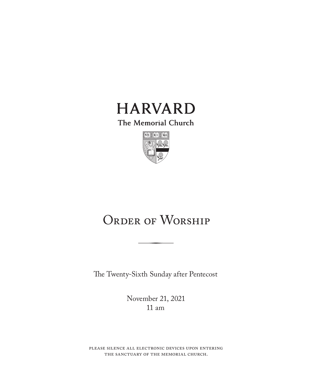

The Memorial Church



# ORDER OF WORSHIP

The Twenty-Sixth Sunday after Pentecost

November 21, 2021 11 am

please silence all electronic devices upon entering the sanctuary of the memorial church.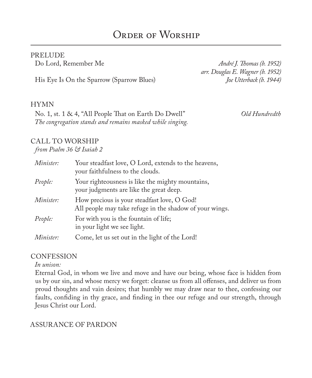#### PRELUDE

His Eye Is On the Sparrow (Sparrow Blues) *Joe Utterback (b. 1944)*

Do Lord, Remember Me *André J. Thomas (b. 1952) arr. Douglas E. Wagner (b. 1952)*

#### HYMN

No. 1, st. 1 & 4, "All People That on Earth Do Dwell" *Old Hundredth The congregation stands and remains masked while singing.*

#### CALL TO WORSHIP

*from Psalm 36 & Isaiah 2*

| Minister: | Your steadfast love, O Lord, extends to the heavens,<br>your faithfulness to the clouds.               |
|-----------|--------------------------------------------------------------------------------------------------------|
| People:   | Your righteousness is like the mighty mountains,<br>your judgments are like the great deep.            |
| Minister: | How precious is your steadfast love, O God!<br>All people may take refuge in the shadow of your wings. |
| People:   | For with you is the fountain of life;<br>in your light we see light.                                   |
| Minister: | Come, let us set out in the light of the Lord!                                                         |

#### **CONFESSION**

*In unison:*

Eternal God, in whom we live and move and have our being, whose face is hidden from us by our sin, and whose mercy we forget: cleanse us from all offenses, and deliver us from proud thoughts and vain desires; that humbly we may draw near to thee, confessing our faults, confiding in thy grace, and finding in thee our refuge and our strength, through Jesus Christ our Lord.

#### ASSURANCE OF PARDON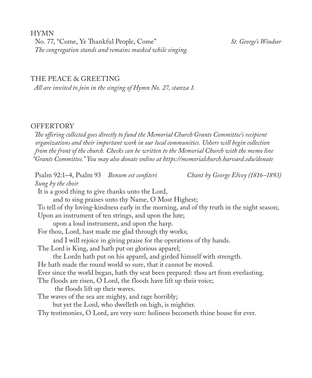HYMN

No. 77, "Come, Ye Thankful People, Come" *St. George's Windsor The congregation stands and remains masked while singing.*

#### THE PEACE & GREETING

*All are invited to join in the singing of Hymn No. 27, stanza 1.*

#### **OFFERTORY**

*The offering collected goes directly to fund the Memorial Church Grants Committee's recipient organizations and their important work in our local communities. Ushers will begin collection from the front of the church. Checks can be written to the Memorial Church with the memo line "Grants Committee." You may also donate online at https://memorialchurch.harvard.edu/donate* 

Psalm 92:1–4, Psalm 93 *Bonum est confiteri Chant by George Elvey (1816–1893) Sung by the choir* It is a good thing to give thanks unto the Lord, and to sing praises unto thy Name, O Most Highest; To tell of thy loving-kindness early in the morning, and of thy truth in the night season; Upon an instrument of ten strings, and upon the lute; upon a loud instrument, and upon the harp. For thou, Lord, hast made me glad through thy works; and I will rejoice in giving praise for the operations of thy hands. The Lord is King, and hath put on glorious apparel; the Lordn hath put on his apparel, and girded himself with strength. He hath made the round world so sure, that it cannot be moved. Ever since the world began, hath thy seat been prepared: thou art from everlasting. The floods are risen, O Lord, the floods have lift up their voice; the floods lift up their waves. The waves of the sea are mighty, and rage horribly; but yet the Lord, who dwelleth on high, is mightier. Thy testimonies, O Lord, are very sure: holiness becometh thine house for ever.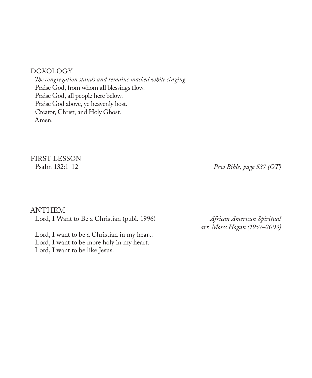#### DOXOLOGY

*The congregation stands and remains masked while singing.* Praise God, from whom all blessings flow. Praise God, all people here below. Praise God above, ye heavenly host. Creator, Christ, and Holy Ghost. Amen.

# FIRST LESSON<br>Psalm 132:1-12

Pew Bible, page 537 (OT)

#### ANTHEM

Lord, I Want to Be a Christian (publ. 1996) *African American Spiritual* 

Lord, I want to be a Christian in my heart. Lord, I want to be more holy in my heart. Lord, I want to be like Jesus.

*arr. Moses Hogan (1957–2003)*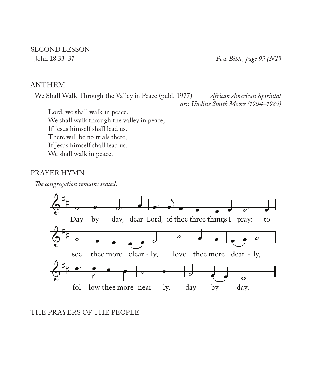# SECOND LESSON<br>John 18:33-37

Pew Bible, page 99 (NT)

#### ANTHEM

We Shall Walk Through the Valley in Peace (publ. 1977) *African American Spiriutal arr. Undine Smith Moore (1904–1989)*

Lord, we shall walk in peace. We shall walk through the valley in peace, If Jesus himself shall lead us. There will be no trials there, If Jesus himself shall lead us. We shall walk in peace.

#### PRAYER HYMN

*The congregation remains seated.*



#### THE PRAYERS OF THE PEOPLE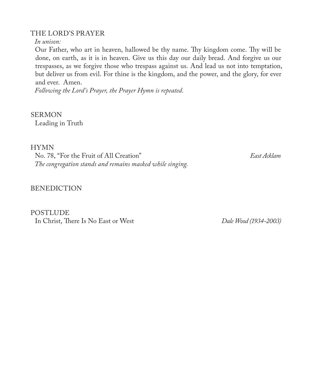#### THE LORD'S PRAYER

*In unison:*

Our Father, who art in heaven, hallowed be thy name. Thy kingdom come. Thy will be done, on earth, as it is in heaven. Give us this day our daily bread. And forgive us our trespasses, as we forgive those who trespass against us. And lead us not into temptation, but deliver us from evil. For thine is the kingdom, and the power, and the glory, for ever and ever. Amen.

*Following the Lord's Prayer, the Prayer Hymn is repeated.*

**SERMON** Leading in Truth

HYMN

No. 78, "For the Fruit of All Creation" *East Acklam The congregation stands and remains masked while singing.*

BENEDICTION

POSTLUDE In Christ, There Is No East or West *Dale Wood (1934-2003)*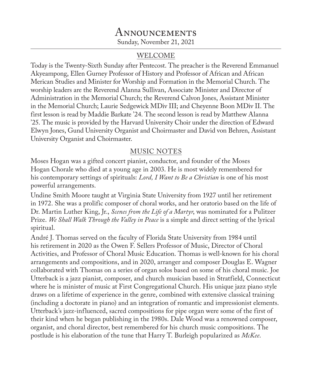# **ANNOUNCEMENTS** Sunday, November 21, 2021

### WELCOME

Today is the Twenty-Sixth Sunday after Pentecost. The preacher is the Reverend Emmanuel Akyeampong, Ellen Gurney Professor of History and Professor of African and African Merican Studies and Minister for Worship and Formation in the Memorial Church. The worship leaders are the Reverend Alanna Sullivan, Associate Minister and Director of Administration in the Memorial Church; the Reverend Calvon Jones, Assistant Minister in the Memorial Church; Laurie Sedgewick MDiv III; and Cheyenne Boon MDiv II. The first lesson is read by Maddie Barkate '24. The second lesson is read by Matthew Alanna '25. The music is provided by the Harvard University Choir under the direction of Edward Elwyn Jones, Gund University Organist and Choirmaster and David von Behren, Assistant University Organist and Choirmaster.

### MUSIC NOTES

Moses Hogan was a gifted concert pianist, conductor, and founder of the Moses Hogan Chorale who died at a young age in 2003. He is most widely remembered for his contemporary settings of spirituals: *Lord, I Want to Be a Christian* is one of his most powerful arrangements.

Undine Smith Moore taught at Virginia State University from 1927 until her retirement in 1972. She was a prolific composer of choral works, and her oratorio based on the life of Dr. Martin Luther King, Jr., *Scenes from the Life of a Martyr*, was nominated for a Pulitzer Prize. *We Shall Walk Through the Valley in Peace* is a simple and direct setting of the lyrical spiritual.

André J. Thomas served on the faculty of Florida State University from 1984 until his retirement in 2020 as the Owen F. Sellers Professor of Music, Director of Choral Activities, and Professor of Choral Music Education. Thomas is well-known for his choral arrangements and compositions, and in 2020, arranger and composer Douglas E. Wagner collaborated with Thomas on a series of organ solos based on some of his choral music. Joe Utterback is a jazz pianist, composer, and church musician based in Stratfield, Connecticut where he is minister of music at First Congregational Church. His unique jazz piano style draws on a lifetime of experience in the genre, combined with extensive classical training (including a doctorate in piano) and an integration of romantic and impressionist elements. Utterback's jazz-influenced, sacred compositions for pipe organ were some of the first of their kind when he began publishing in the 1980s. Dale Wood was a renowned composer, organist, and choral director, best remembered for his church music compositions. The postlude is his elaboration of the tune that Harry T. Burleigh popularized as *McKee*.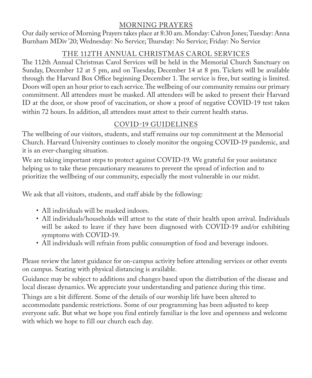### MORNING PRAYERS

Our daily service of Morning Prayers takes place at 8:30 am. Monday: Calvon Jones; Tuesday: Anna Burnham MDiv '20; Wednesday: No Service; Thursday: No Service; Friday: No Service

## THE 112TH ANNUAL CHRISTMAS CAROL SERVICES

The 112th Annual Christmas Carol Services will be held in the Memorial Church Sanctuary on Sunday, December 12 at 5 pm, and on Tuesday, December 14 at 8 pm. Tickets will be available through the Harvard Box Office beginning December 1. The service is free, but seating is limited. Doors will open an hour prior to each service. The wellbeing of our community remains our primary commitment. All attendees must be masked. All attendees will be asked to present their Harvard ID at the door, or show proof of vaccination, or show a proof of negative COVID-19 test taken within 72 hours. In addition, all attendees must attest to their current health status.

# COVID-19 GUIDELINES

The wellbeing of our visitors, students, and staff remains our top commitment at the Memorial Church. Harvard University continues to closely monitor the ongoing COVID-19 pandemic, and it is an ever-changing situation.

We are taking important steps to protect against COVID-19. We grateful for your assistance helping us to take these precautionary measures to prevent the spread of infection and to prioritize the wellbeing of our community, especially the most vulnerable in our midst.

We ask that all visitors, students, and staff abide by the following:

- All individuals will be masked indoors.
- All individuals/households will attest to the state of their health upon arrival. Individuals will be asked to leave if they have been diagnosed with COVID-19 and/or exhibiting symptoms with COVID-19.
- All individuals will refrain from public consumption of food and beverage indoors.

Please review the latest guidance for on-campus activity before attending services or other events on campus. Seating with physical distancing is available.

Guidance may be subject to additions and changes based upon the distribution of the disease and local disease dynamics. We appreciate your understanding and patience during this time.

Things are a bit different. Some of the details of our worship life have been altered to accommodate pandemic restrictions. Some of our programming has been adjusted to keep everyone safe. But what we hope you find entirely familiar is the love and openness and welcome with which we hope to fill our church each day.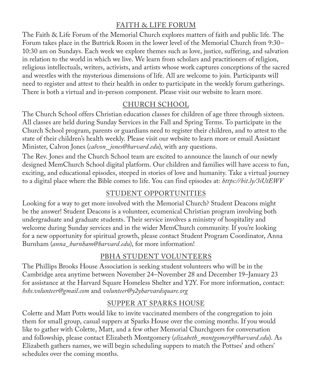## FAITH & LIFE FORUM

The Faith & Life Forum of the Memorial Church explores matters of faith and public life. The Forum takes place in the Buttrick Room in the lower level of the Memorial Church from 9:30– 10:30 am on Sundays. Each week we explore themes such as love, justice, suffering, and salvation in relation to the world in which we live. We learn from scholars and practitioners of religion, religious intellectuals, writers, activists, and artists whose work captures conceptions of the sacred and wrestles with the mysterious dimensions of life. All are welcome to join. Participants will need to register and attest to their health in order to participate in the weekly forum gatherings. There is both a virtual and in-person component. Please visit our website to learn more.

#### CHURCH SCHOOL

The Church School offers Christian education classes for children of age three through sixteen. All classes are held during Sunday Services in the Fall and Spring Terms. To participate in the Church School program, parents or guardians need to register their children, and to attest to the state of their children's health weekly. Please visit our website to learn more or email Assistant Minister, Calvon Jones (*calvon\_ jones@harvard.edu*), with any questions.

The Rev. Jones and the Church School team are excited to announce the launch of our newly designed MemChurch School digital platform. Our children and families will have access to fun, exciting, and educational episodes, steeped in stories of love and humanity. Take a virtual journey to a digital place where the Bible comes to life. You can find episodes at: *https://bit.ly/3iUtEWV*

## STUDENT OPPORTUNITIES

Looking for a way to get more involved with the Memorial Church? Student Deacons might be the answer! Student Deacons is a volunteer, ecumenical Christian program involving both undergraduate and graduate students. Their service involves a ministry of hospitality and welcome during Sunday services and in the wider MemChurch community. If you're looking for a new opportunity for spiritual growth, please contact Student Program Coordinator, Anna Burnham (*anna\_burnham@harvard.edu*), for more information!

## PBHA STUDENT VOLUNTEERS

The Phillips Brooks House Association is seeking student volunteers who will be in the Cambridge area anytime between November 24–November 28 and December 19–January 23 for assistance at the Harvard Square Homeless Shelter and Y2Y. For more information, contact: *hshs.volunteer@gmail.com* and *volunteer@y2yharvardsquare.org*

# SUPPER AT SPARKS HOUSE

Colette and Matt Potts would like to invite vaccinated members of the congregation to join them for small group, casual suppers at Sparks House over the coming months. If you would like to gather with Colette, Matt, and a few other Memorial Churchgoers for conversation and followship, please contact Elizabeth Montgomery (*elizabeth\_montgomery@harvard.edu*). As Elizabeth gathers names, we will begin scheduling suppers to match the Pottses' and others' schedules over the coming months.